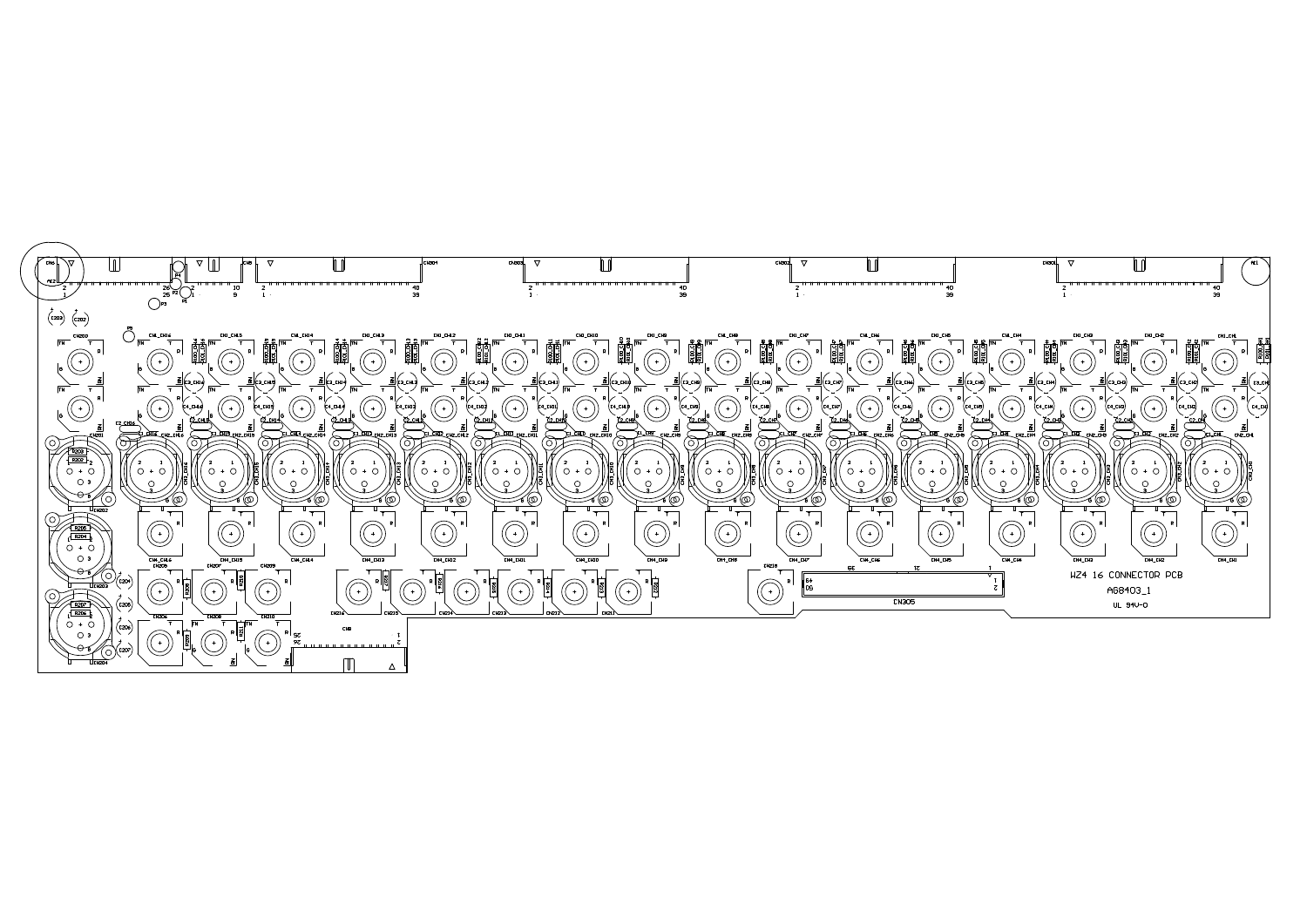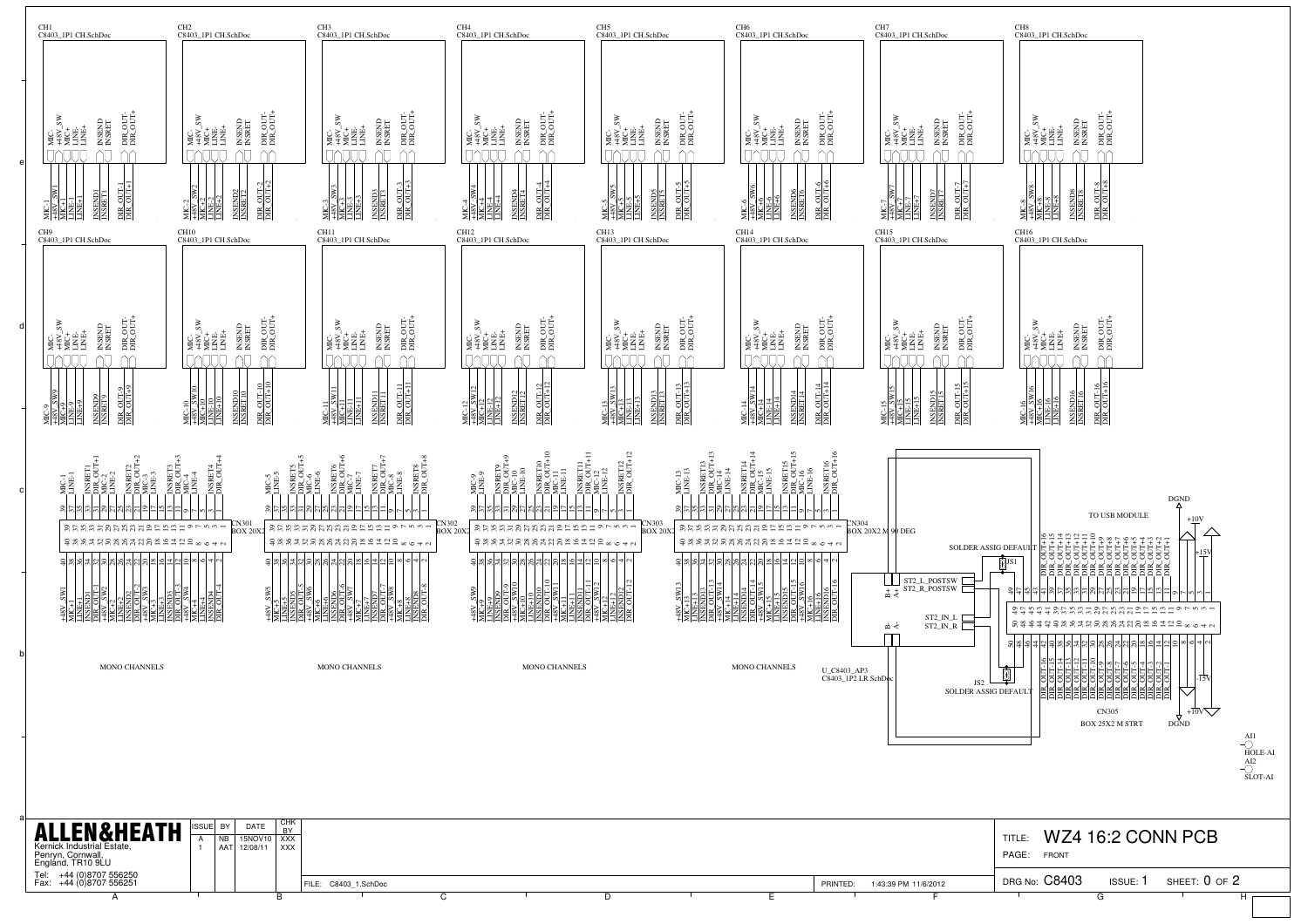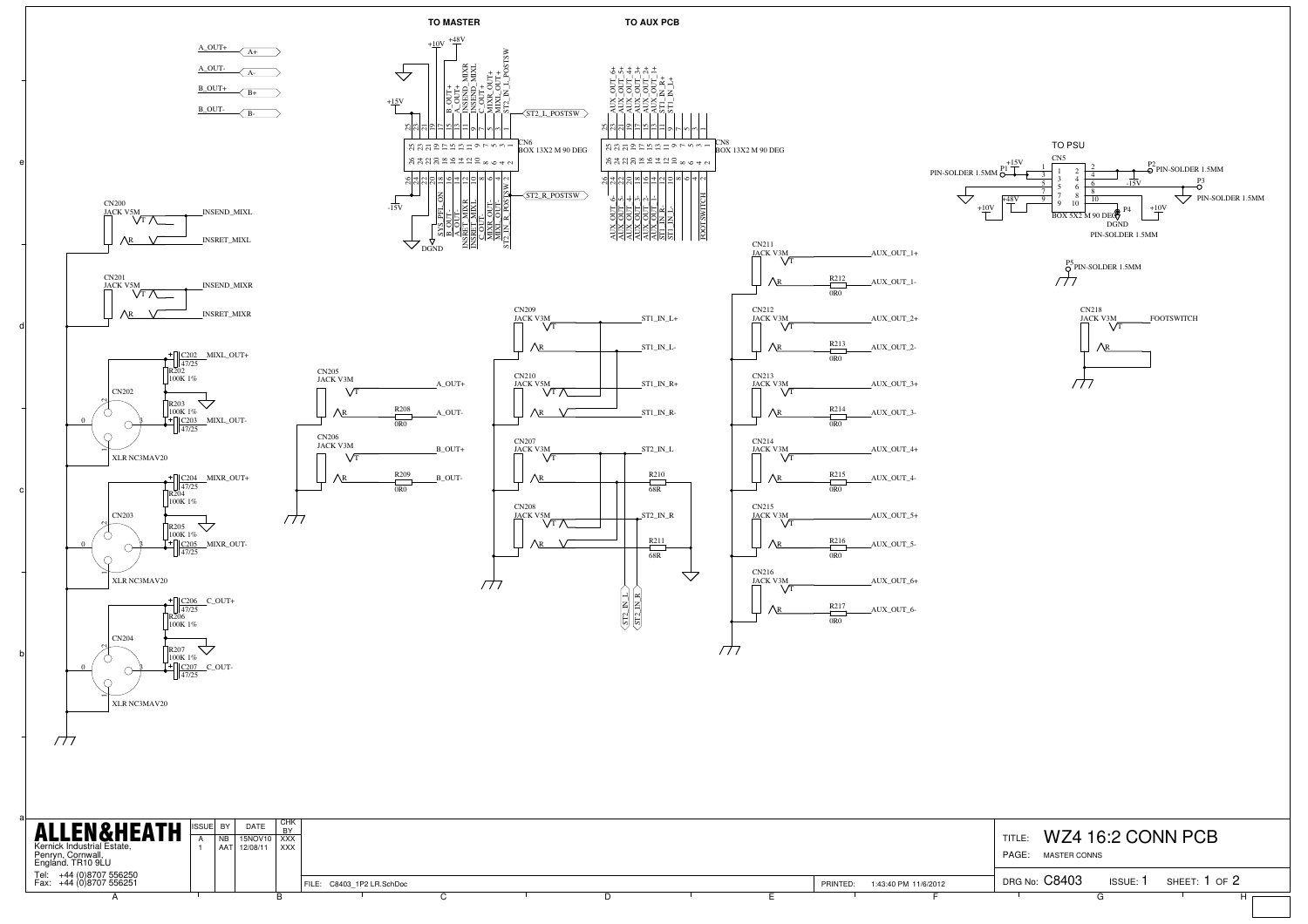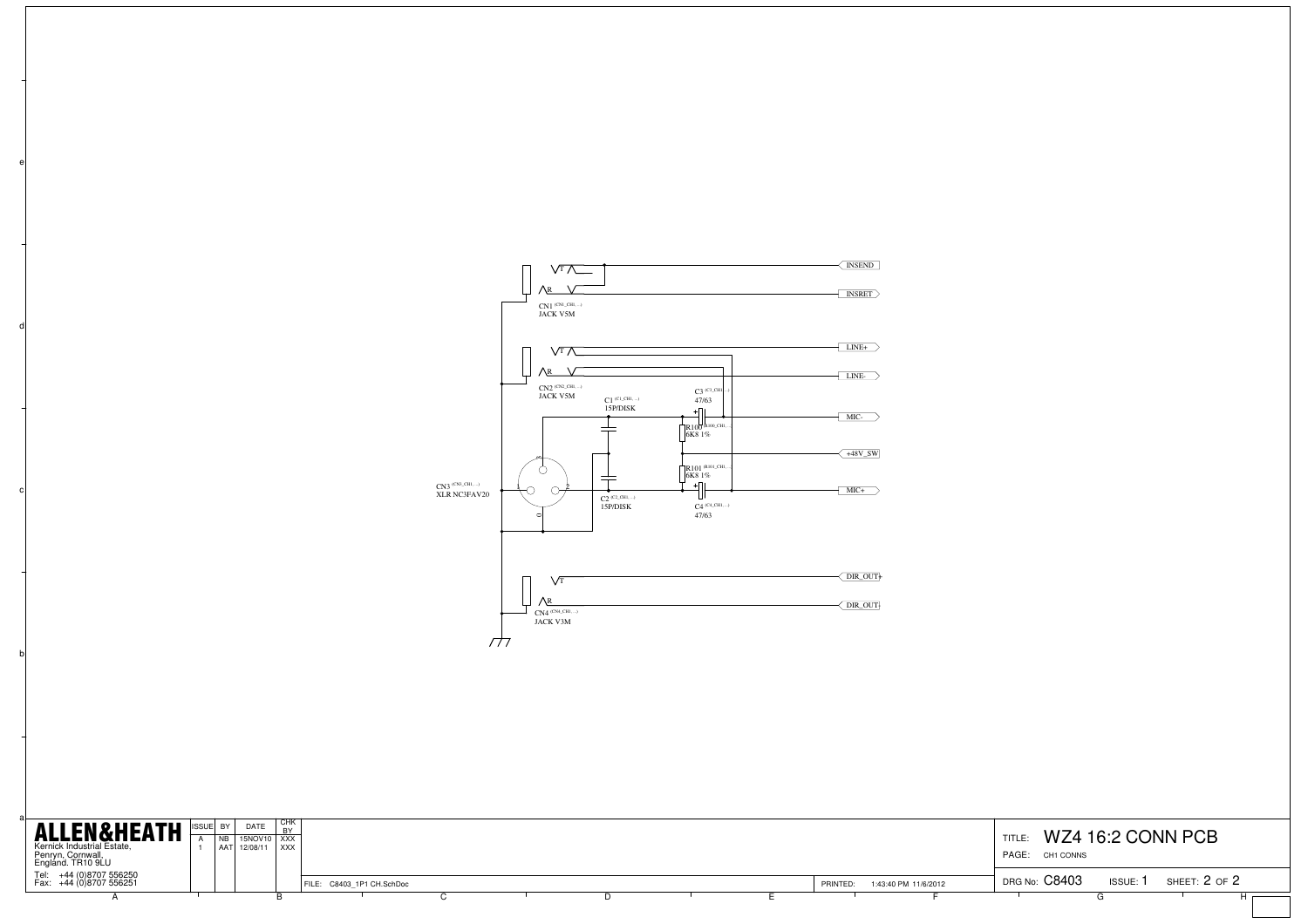

| <b>ALLEN&amp;HEATH</b><br>Kernick Industrial Estate,<br>Penryn, Cornwall,<br>England. TR10 9LU | ISSUE BY | DATE<br>INB 15NOV10 XXX<br>AAT 12/08/11 XXX | <b>CHK</b> |                           |  |  |  |          |                      | TITLE:<br>PAGE: CH1 CONNS |        | WZ4 16:2 CONN PCB |  |
|------------------------------------------------------------------------------------------------|----------|---------------------------------------------|------------|---------------------------|--|--|--|----------|----------------------|---------------------------|--------|-------------------|--|
| Tel: $+44(0)8707556250$<br>Fax: +44 (0)8707 556251                                             |          |                                             |            | FILE: C8403 1P1 CH.SchDoc |  |  |  | PRINTED: | 1:43:40 PM 11/6/2012 | DRG No: C8403             | ISSUE: | SHEET: 2 OF 2     |  |
|                                                                                                |          |                                             |            |                           |  |  |  |          |                      |                           |        |                   |  |

b

c

d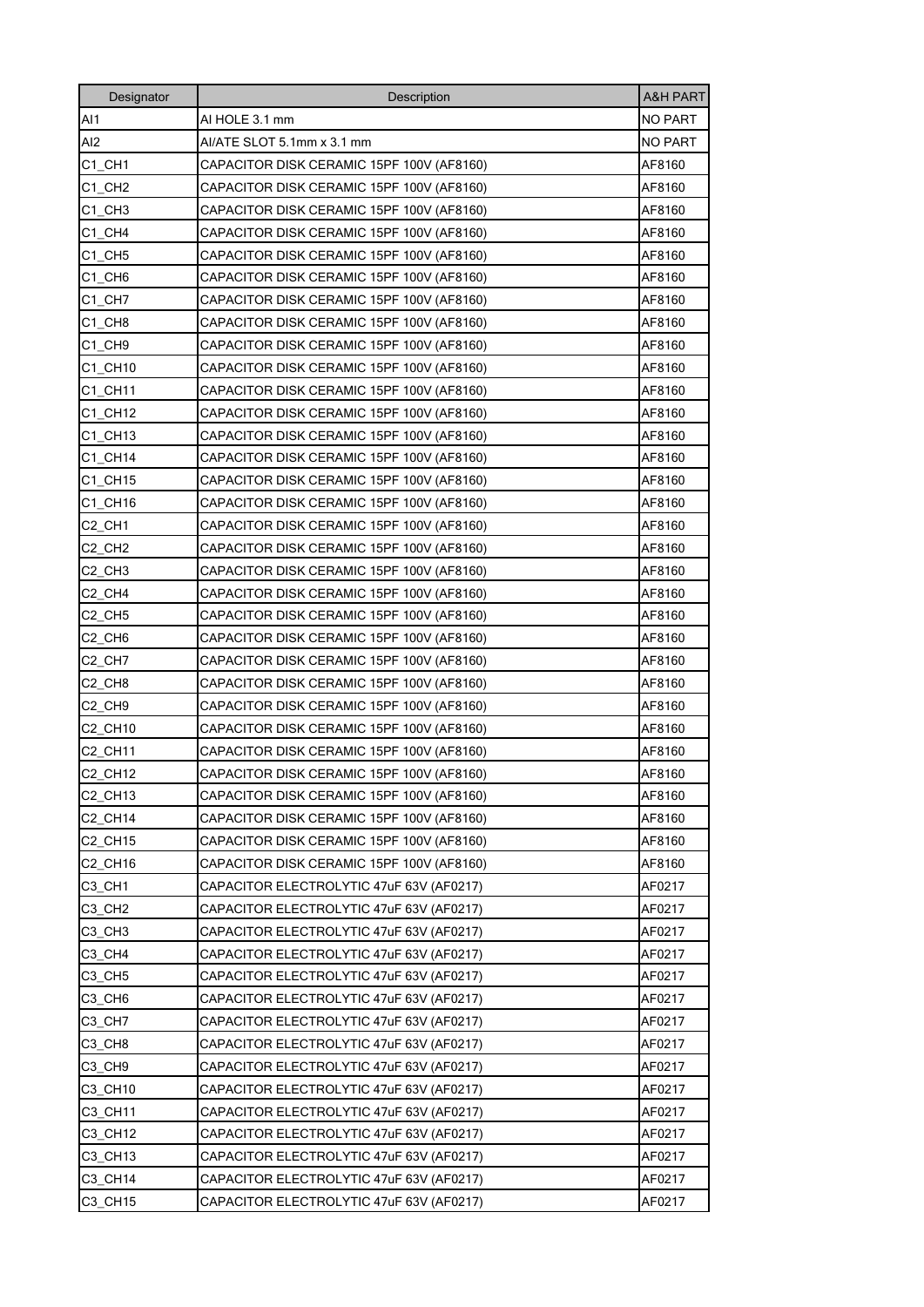| Designator                     | Description                               | <b>A&amp;H PART</b> |
|--------------------------------|-------------------------------------------|---------------------|
| AI1                            | AI HOLE 3.1 mm                            | NO PART             |
| AI2                            | AI/ATE SLOT 5.1mm x 3.1 mm                | <b>NO PART</b>      |
| C1 CH1                         | CAPACITOR DISK CERAMIC 15PF 100V (AF8160) | AF8160              |
| C1 CH2                         | CAPACITOR DISK CERAMIC 15PF 100V (AF8160) | AF8160              |
| C1 CH3                         | CAPACITOR DISK CERAMIC 15PF 100V (AF8160) | AF8160              |
| C1 CH4                         | CAPACITOR DISK CERAMIC 15PF 100V (AF8160) | AF8160              |
| C1 CH5                         | CAPACITOR DISK CERAMIC 15PF 100V (AF8160) | AF8160              |
| C1 CH6                         | CAPACITOR DISK CERAMIC 15PF 100V (AF8160) | AF8160              |
| C1 CH7                         | CAPACITOR DISK CERAMIC 15PF 100V (AF8160) | AF8160              |
| C1 CH8                         | CAPACITOR DISK CERAMIC 15PF 100V (AF8160) | AF8160              |
| C1 CH9                         | CAPACITOR DISK CERAMIC 15PF 100V (AF8160) | AF8160              |
| C1 CH10                        | CAPACITOR DISK CERAMIC 15PF 100V (AF8160) | AF8160              |
| C1 CH11                        | CAPACITOR DISK CERAMIC 15PF 100V (AF8160) | AF8160              |
| C1 CH12                        | CAPACITOR DISK CERAMIC 15PF 100V (AF8160) | AF8160              |
| C1 CH13                        | CAPACITOR DISK CERAMIC 15PF 100V (AF8160) | AF8160              |
| C1 CH14                        | CAPACITOR DISK CERAMIC 15PF 100V (AF8160) | AF8160              |
| C1 CH15                        | CAPACITOR DISK CERAMIC 15PF 100V (AF8160) | AF8160              |
| C1 CH16                        | CAPACITOR DISK CERAMIC 15PF 100V (AF8160) | AF8160              |
| C <sub>2</sub> CH <sub>1</sub> | CAPACITOR DISK CERAMIC 15PF 100V (AF8160) | AF8160              |
| C <sub>2_CH2</sub>             | CAPACITOR DISK CERAMIC 15PF 100V (AF8160) | AF8160              |
| C2 CH3                         | CAPACITOR DISK CERAMIC 15PF 100V (AF8160) | AF8160              |
| C <sub>2</sub> CH <sub>4</sub> | CAPACITOR DISK CERAMIC 15PF 100V (AF8160) | AF8160              |
| C <sub>2</sub> CH <sub>5</sub> | CAPACITOR DISK CERAMIC 15PF 100V (AF8160) | AF8160              |
| C <sub>2</sub> CH <sub>6</sub> | CAPACITOR DISK CERAMIC 15PF 100V (AF8160) | AF8160              |
| C <sub>2</sub> CH <sub>7</sub> | CAPACITOR DISK CERAMIC 15PF 100V (AF8160) | AF8160              |
| C <sub>2</sub> CH <sub>8</sub> | CAPACITOR DISK CERAMIC 15PF 100V (AF8160) | AF8160              |
| C <sub>2</sub> CH <sub>9</sub> | CAPACITOR DISK CERAMIC 15PF 100V (AF8160) | AF8160              |
| C2_CH10                        | CAPACITOR DISK CERAMIC 15PF 100V (AF8160) | AF8160              |
| C2_CH11                        | CAPACITOR DISK CERAMIC 15PF 100V (AF8160) | AF8160              |
| C2 CH12                        | CAPACITOR DISK CERAMIC 15PF 100V (AF8160) | AF8160              |
| C2_CH13                        | CAPACITOR DISK CERAMIC 15PF 100V (AF8160) | AF8160              |
| <b>C2 CH14</b>                 | CAPACITOR DISK CERAMIC 15PF 100V (AF8160) | AF8160              |
| C2 CH15                        | CAPACITOR DISK CERAMIC 15PF 100V (AF8160) | AF8160              |
| C2_CH16                        | CAPACITOR DISK CERAMIC 15PF 100V (AF8160) | AF8160              |
| C3_CH1                         | CAPACITOR ELECTROLYTIC 47uF 63V (AF0217)  | AF0217              |
| C3 CH <sub>2</sub>             | CAPACITOR ELECTROLYTIC 47uF 63V (AF0217)  | AF0217              |
| C3_CH3                         | CAPACITOR ELECTROLYTIC 47uF 63V (AF0217)  | AF0217              |
| C3 CH4                         | CAPACITOR ELECTROLYTIC 47uF 63V (AF0217)  | AF0217              |
| C3_CH5                         | CAPACITOR ELECTROLYTIC 47uF 63V (AF0217)  | AF0217              |
| C3 CH6                         | CAPACITOR ELECTROLYTIC 47uF 63V (AF0217)  | AF0217              |
| C3_CH7                         | CAPACITOR ELECTROLYTIC 47uF 63V (AF0217)  | AF0217              |
| C3 CH8                         | CAPACITOR ELECTROLYTIC 47uF 63V (AF0217)  | AF0217              |
| C3 CH9                         | CAPACITOR ELECTROLYTIC 47uF 63V (AF0217)  | AF0217              |
| C3 CH10                        | CAPACITOR ELECTROLYTIC 47uF 63V (AF0217)  | AF0217              |
| C3 CH11                        | CAPACITOR ELECTROLYTIC 47uF 63V (AF0217)  | AF0217              |
| C3 CH12                        | CAPACITOR ELECTROLYTIC 47uF 63V (AF0217)  | AF0217              |
| C3 CH13                        | CAPACITOR ELECTROLYTIC 47uF 63V (AF0217)  | AF0217              |
| C3 CH14                        | CAPACITOR ELECTROLYTIC 47uF 63V (AF0217)  | AF0217              |
| C3_CH15                        | CAPACITOR ELECTROLYTIC 47uF 63V (AF0217)  | AF0217              |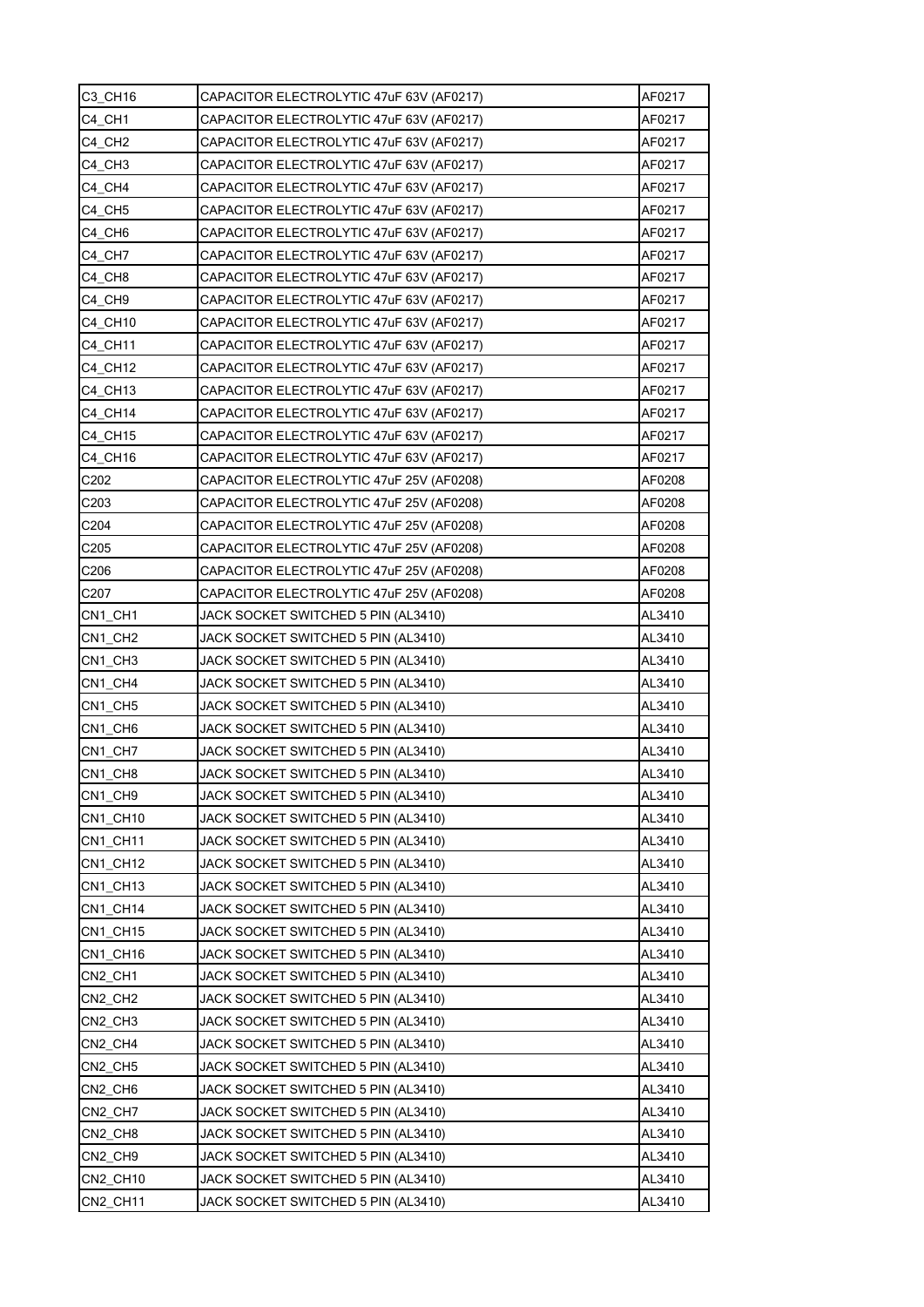| C3_CH16            | CAPACITOR ELECTROLYTIC 47uF 63V (AF0217) | AF0217 |
|--------------------|------------------------------------------|--------|
| C4 CH1             | CAPACITOR ELECTROLYTIC 47uF 63V (AF0217) | AF0217 |
| C4 CH <sub>2</sub> | CAPACITOR ELECTROLYTIC 47uF 63V (AF0217) | AF0217 |
| C4 CH3             | CAPACITOR ELECTROLYTIC 47uF 63V (AF0217) | AF0217 |
| C4 CH4             | CAPACITOR ELECTROLYTIC 47uF 63V (AF0217) | AF0217 |
| C4 CH5             | CAPACITOR ELECTROLYTIC 47uF 63V (AF0217) | AF0217 |
| C4 CH6             | CAPACITOR ELECTROLYTIC 47uF 63V (AF0217) | AF0217 |
| C4 CH7             | CAPACITOR ELECTROLYTIC 47uF 63V (AF0217) | AF0217 |
| C4 CH8             | CAPACITOR ELECTROLYTIC 47uF 63V (AF0217) | AF0217 |
| C4 CH9             | CAPACITOR ELECTROLYTIC 47uF 63V (AF0217) | AF0217 |
| C4 CH10            | CAPACITOR ELECTROLYTIC 47uF 63V (AF0217) | AF0217 |
| C4 CH11            | CAPACITOR ELECTROLYTIC 47uF 63V (AF0217) | AF0217 |
| C4 CH12            | CAPACITOR ELECTROLYTIC 47uF 63V (AF0217) | AF0217 |
| C4 CH13            | CAPACITOR ELECTROLYTIC 47uF 63V (AF0217) | AF0217 |
| C4 CH14            | CAPACITOR ELECTROLYTIC 47uF 63V (AF0217) | AF0217 |
| C4 CH15            | CAPACITOR ELECTROLYTIC 47uF 63V (AF0217) | AF0217 |
| C4_CH16            | CAPACITOR ELECTROLYTIC 47uF 63V (AF0217) | AF0217 |
| C202               | CAPACITOR ELECTROLYTIC 47uF 25V (AF0208) | AF0208 |
| C <sub>203</sub>   | CAPACITOR ELECTROLYTIC 47uF 25V (AF0208) | AF0208 |
| C204               | CAPACITOR ELECTROLYTIC 47uF 25V (AF0208) | AF0208 |
| C205               | CAPACITOR ELECTROLYTIC 47uF 25V (AF0208) | AF0208 |
| C206               | CAPACITOR ELECTROLYTIC 47uF 25V (AF0208) | AF0208 |
| C <sub>207</sub>   | CAPACITOR ELECTROLYTIC 47uF 25V (AF0208) | AF0208 |
| CN1 CH1            | JACK SOCKET SWITCHED 5 PIN (AL3410)      | AL3410 |
| CN1 CH2            | JACK SOCKET SWITCHED 5 PIN (AL3410)      | AL3410 |
| CN1 CH3            | JACK SOCKET SWITCHED 5 PIN (AL3410)      | AL3410 |
| CN1 CH4            | JACK SOCKET SWITCHED 5 PIN (AL3410)      | AL3410 |
| CN1 CH5            | JACK SOCKET SWITCHED 5 PIN (AL3410)      | AL3410 |
| CN1 CH6            | JACK SOCKET SWITCHED 5 PIN (AL3410)      | AL3410 |
| CN1_CH7            | JACK SOCKET SWITCHED 5 PIN (AL3410)      | AL3410 |
| CN1_CH8            | JACK SOCKET SWITCHED 5 PIN (AL3410)      | AL3410 |
| CN1 CH9            | JACK SOCKET SWITCHED 5 PIN (AL3410)      | AL3410 |
| CN1_CH10           | JACK SOCKET SWITCHED 5 PIN (AL3410)      | AL3410 |
| CN1_CH11           | JACK SOCKET SWITCHED 5 PIN (AL3410)      | AL3410 |
| CN1 CH12           | JACK SOCKET SWITCHED 5 PIN (AL3410)      | AL3410 |
| CN1 CH13           | JACK SOCKET SWITCHED 5 PIN (AL3410)      | AL3410 |
| CN1 CH14           | JACK SOCKET SWITCHED 5 PIN (AL3410)      | AL3410 |
| CN1_CH15           | JACK SOCKET SWITCHED 5 PIN (AL3410)      | AL3410 |
| CN1 CH16           | JACK SOCKET SWITCHED 5 PIN (AL3410)      | AL3410 |
| CN2 CH1            | JACK SOCKET SWITCHED 5 PIN (AL3410)      | AL3410 |
| CN2_CH2            | JACK SOCKET SWITCHED 5 PIN (AL3410)      | AL3410 |
| CN2_CH3            | JACK SOCKET SWITCHED 5 PIN (AL3410)      | AL3410 |
| CN2_CH4            | JACK SOCKET SWITCHED 5 PIN (AL3410)      | AL3410 |
| CN2 CH5            | JACK SOCKET SWITCHED 5 PIN (AL3410)      | AL3410 |
| CN2_CH6            | JACK SOCKET SWITCHED 5 PIN (AL3410)      | AL3410 |
| CN2 CH7            | JACK SOCKET SWITCHED 5 PIN (AL3410)      | AL3410 |
| CN2_CH8            | JACK SOCKET SWITCHED 5 PIN (AL3410)      | AL3410 |
| CN2_CH9            | JACK SOCKET SWITCHED 5 PIN (AL3410)      | AL3410 |
| CN2_CH10           | JACK SOCKET SWITCHED 5 PIN (AL3410)      | AL3410 |
| CN2_CH11           | JACK SOCKET SWITCHED 5 PIN (AL3410)      | AL3410 |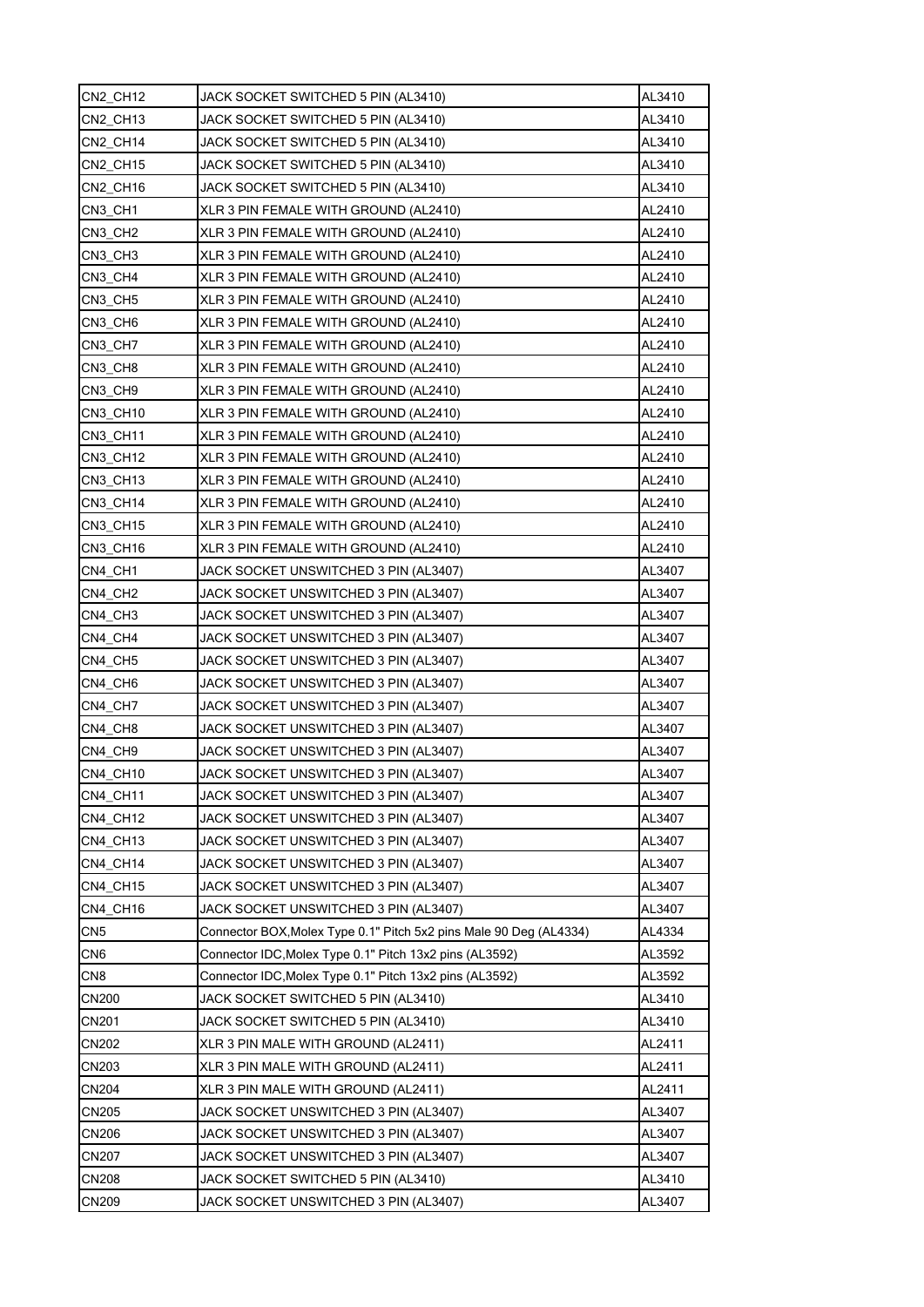| CN2 CH12        | JACK SOCKET SWITCHED 5 PIN (AL3410)                                | AL3410 |
|-----------------|--------------------------------------------------------------------|--------|
| CN2_CH13        | JACK SOCKET SWITCHED 5 PIN (AL3410)                                | AL3410 |
| CN2_CH14        | JACK SOCKET SWITCHED 5 PIN (AL3410)                                | AL3410 |
| CN2 CH15        | JACK SOCKET SWITCHED 5 PIN (AL3410)                                | AL3410 |
| CN2 CH16        | JACK SOCKET SWITCHED 5 PIN (AL3410)                                | AL3410 |
| CN3 CH1         | XLR 3 PIN FEMALE WITH GROUND (AL2410)                              | AL2410 |
| CN3 CH2         | XLR 3 PIN FEMALE WITH GROUND (AL2410)                              | AL2410 |
| CN3 CH3         | XLR 3 PIN FEMALE WITH GROUND (AL2410)                              | AL2410 |
| CN3 CH4         | XLR 3 PIN FEMALE WITH GROUND (AL2410)                              | AL2410 |
| CN3_CH5         | XLR 3 PIN FEMALE WITH GROUND (AL2410)                              | AL2410 |
| CN3_CH6         | XLR 3 PIN FEMALE WITH GROUND (AL2410)                              | AL2410 |
| CN3_CH7         | XLR 3 PIN FEMALE WITH GROUND (AL2410)                              | AL2410 |
| CN3 CH8         | XLR 3 PIN FEMALE WITH GROUND (AL2410)                              | AL2410 |
| CN3_CH9         | XLR 3 PIN FEMALE WITH GROUND (AL2410)                              | AL2410 |
| CN3 CH10        | XLR 3 PIN FEMALE WITH GROUND (AL2410)                              | AL2410 |
| CN3_CH11        | XLR 3 PIN FEMALE WITH GROUND (AL2410)                              | AL2410 |
| CN3 CH12        | XLR 3 PIN FEMALE WITH GROUND (AL2410)                              | AL2410 |
| CN3 CH13        | XLR 3 PIN FEMALE WITH GROUND (AL2410)                              | AL2410 |
| CN3_CH14        | XLR 3 PIN FEMALE WITH GROUND (AL2410)                              | AL2410 |
| CN3 CH15        | XLR 3 PIN FEMALE WITH GROUND (AL2410)                              | AL2410 |
| CN3_CH16        | XLR 3 PIN FEMALE WITH GROUND (AL2410)                              | AL2410 |
| CN4 CH1         | JACK SOCKET UNSWITCHED 3 PIN (AL3407)                              | AL3407 |
| CN4 CH2         | JACK SOCKET UNSWITCHED 3 PIN (AL3407)                              | AL3407 |
| CN4 CH3         | JACK SOCKET UNSWITCHED 3 PIN (AL3407)                              | AL3407 |
| CN4 CH4         | JACK SOCKET UNSWITCHED 3 PIN (AL3407)                              | AL3407 |
| CN4 CH5         | JACK SOCKET UNSWITCHED 3 PIN (AL3407)                              | AL3407 |
| CN4 CH6         | JACK SOCKET UNSWITCHED 3 PIN (AL3407)                              | AL3407 |
| CN4 CH7         | JACK SOCKET UNSWITCHED 3 PIN (AL3407)                              | AL3407 |
| CN4_CH8         | JACK SOCKET UNSWITCHED 3 PIN (AL3407)                              | AL3407 |
| CN4 CH9         | JACK SOCKET UNSWITCHED 3 PIN (AL3407)                              | AL3407 |
| CN4_CH10        | JACK SOCKET UNSWITCHED 3 PIN (AL3407)                              | AL3407 |
| CN4 CH11        | JACK SOCKET UNSWITCHED 3 PIN (AL3407)                              | AL3407 |
| CN4_CH12        | JACK SOCKET UNSWITCHED 3 PIN (AL3407)                              | AL3407 |
| CN4_CH13        | JACK SOCKET UNSWITCHED 3 PIN (AL3407)                              | AL3407 |
| CN4_CH14        | JACK SOCKET UNSWITCHED 3 PIN (AL3407)                              | AL3407 |
| CN4_CH15        | JACK SOCKET UNSWITCHED 3 PIN (AL3407)                              | AL3407 |
| CN4 CH16        | JACK SOCKET UNSWITCHED 3 PIN (AL3407)                              | AL3407 |
| CN <sub>5</sub> | Connector BOX, Molex Type 0.1" Pitch 5x2 pins Male 90 Deg (AL4334) | AL4334 |
| CN <sub>6</sub> | Connector IDC, Molex Type 0.1" Pitch 13x2 pins (AL3592)            | AL3592 |
| CN <sub>8</sub> | Connector IDC, Molex Type 0.1" Pitch 13x2 pins (AL3592)            | AL3592 |
| <b>CN200</b>    | JACK SOCKET SWITCHED 5 PIN (AL3410)                                | AL3410 |
| <b>CN201</b>    | JACK SOCKET SWITCHED 5 PIN (AL3410)                                | AL3410 |
| CN202           | XLR 3 PIN MALE WITH GROUND (AL2411)                                | AL2411 |
| CN203           | XLR 3 PIN MALE WITH GROUND (AL2411)                                | AL2411 |
| CN204           | XLR 3 PIN MALE WITH GROUND (AL2411)                                | AL2411 |
| <b>CN205</b>    | JACK SOCKET UNSWITCHED 3 PIN (AL3407)                              | AL3407 |
| CN206           | JACK SOCKET UNSWITCHED 3 PIN (AL3407)                              | AL3407 |
| CN207           | JACK SOCKET UNSWITCHED 3 PIN (AL3407)                              | AL3407 |
| <b>CN208</b>    | JACK SOCKET SWITCHED 5 PIN (AL3410)                                | AL3410 |
| <b>CN209</b>    | JACK SOCKET UNSWITCHED 3 PIN (AL3407)                              | AL3407 |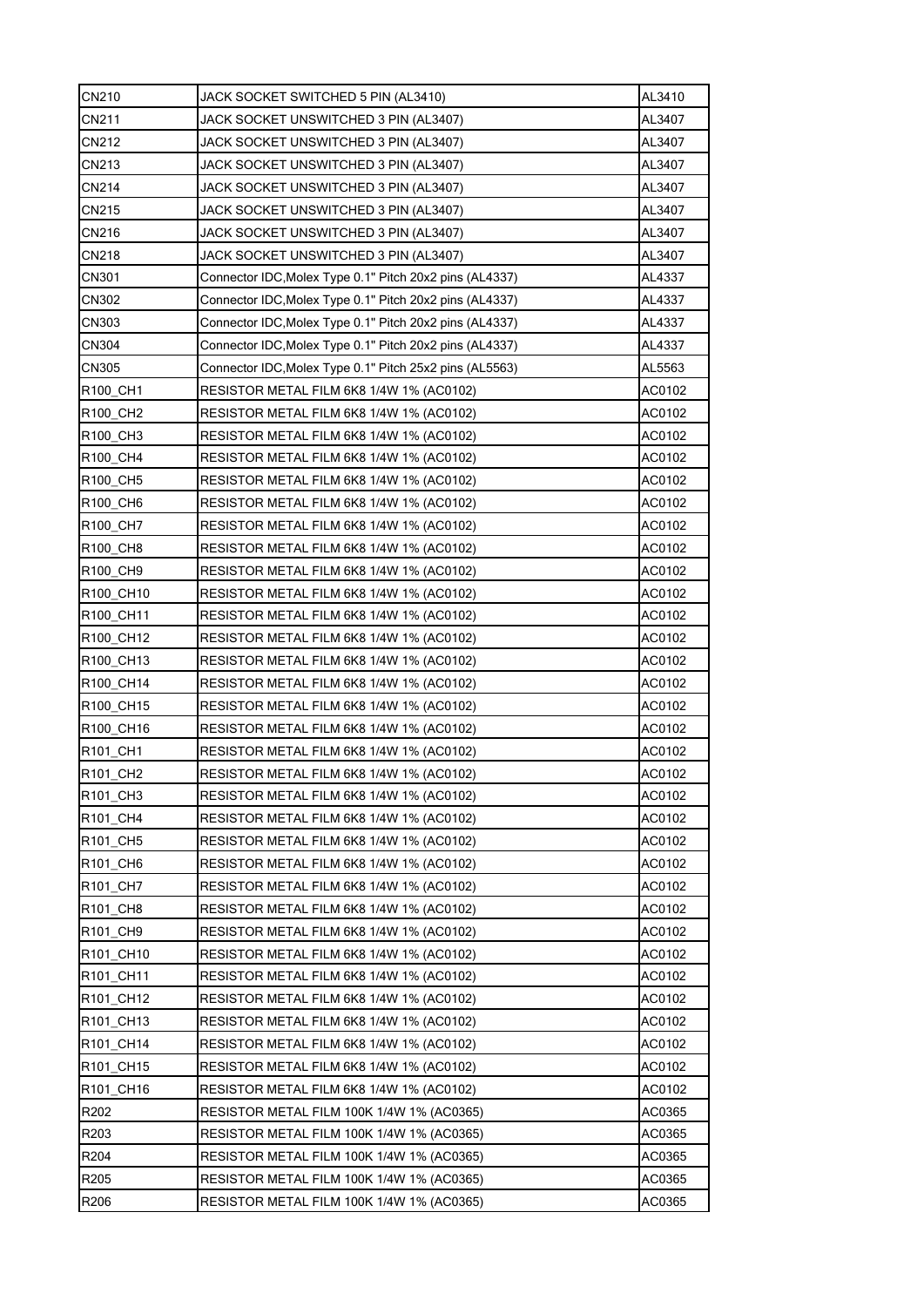| CN210                             | JACK SOCKET SWITCHED 5 PIN (AL3410)                     | AL3410 |
|-----------------------------------|---------------------------------------------------------|--------|
| CN211                             | JACK SOCKET UNSWITCHED 3 PIN (AL3407)                   | AL3407 |
| CN212                             | JACK SOCKET UNSWITCHED 3 PIN (AL3407)                   | AL3407 |
| CN213                             | JACK SOCKET UNSWITCHED 3 PIN (AL3407)                   | AL3407 |
| CN214                             | JACK SOCKET UNSWITCHED 3 PIN (AL3407)                   | AL3407 |
| CN215                             | JACK SOCKET UNSWITCHED 3 PIN (AL3407)                   | AL3407 |
| CN216                             | JACK SOCKET UNSWITCHED 3 PIN (AL3407)                   | AL3407 |
| <b>CN218</b>                      | JACK SOCKET UNSWITCHED 3 PIN (AL3407)                   | AL3407 |
| CN301                             | Connector IDC, Molex Type 0.1" Pitch 20x2 pins (AL4337) | AL4337 |
| CN302                             | Connector IDC, Molex Type 0.1" Pitch 20x2 pins (AL4337) | AL4337 |
| CN303                             | Connector IDC, Molex Type 0.1" Pitch 20x2 pins (AL4337) | AL4337 |
| CN304                             | Connector IDC, Molex Type 0.1" Pitch 20x2 pins (AL4337) | AL4337 |
| CN305                             | Connector IDC, Molex Type 0.1" Pitch 25x2 pins (AL5563) | AL5563 |
| R100 CH1                          | RESISTOR METAL FILM 6K8 1/4W 1% (AC0102)                | AC0102 |
| R100_CH2                          | RESISTOR METAL FILM 6K8 1/4W 1% (AC0102)                | AC0102 |
| R100 CH3                          | RESISTOR METAL FILM 6K8 1/4W 1% (AC0102)                | AC0102 |
| R100 CH4                          | RESISTOR METAL FILM 6K8 1/4W 1% (AC0102)                | AC0102 |
| R100 CH5                          | RESISTOR METAL FILM 6K8 1/4W 1% (AC0102)                | AC0102 |
| R100 CH6                          | RESISTOR METAL FILM 6K8 1/4W 1% (AC0102)                | AC0102 |
| R <sub>100</sub> CH <sub>7</sub>  | RESISTOR METAL FILM 6K8 1/4W 1% (AC0102)                | AC0102 |
| R100_CH8                          | RESISTOR METAL FILM 6K8 1/4W 1% (AC0102)                | AC0102 |
| R100 CH9                          | RESISTOR METAL FILM 6K8 1/4W 1% (AC0102)                | AC0102 |
| R100_CH10                         | RESISTOR METAL FILM 6K8 1/4W 1% (AC0102)                | AC0102 |
| R100 CH11                         | RESISTOR METAL FILM 6K8 1/4W 1% (AC0102)                | AC0102 |
| R100 CH12                         | RESISTOR METAL FILM 6K8 1/4W 1% (AC0102)                | AC0102 |
| R100_CH13                         | RESISTOR METAL FILM 6K8 1/4W 1% (AC0102)                | AC0102 |
| R <sub>100</sub> CH <sub>14</sub> | RESISTOR METAL FILM 6K8 1/4W 1% (AC0102)                | AC0102 |
| R100 CH15                         | RESISTOR METAL FILM 6K8 1/4W 1% (AC0102)                | AC0102 |
| R100_CH16                         | RESISTOR METAL FILM 6K8 1/4W 1% (AC0102)                | AC0102 |
| R101_CH1                          | RESISTOR METAL FILM 6K8 1/4W 1% (AC0102)                | AC0102 |
| R101 CH2                          | RESISTOR METAL FILM 6K8 1/4W 1% (AC0102)                | AC0102 |
| R101 CH3                          | RESISTOR METAL FILM 6K8 1/4W 1% (AC0102)                | AC0102 |
| R101 CH4                          | RESISTOR METAL FILM 6K8 1/4W 1% (AC0102)                | AC0102 |
| R101_CH5                          | RESISTOR METAL FILM 6K8 1/4W 1% (AC0102)                | AC0102 |
| R101 CH6                          | RESISTOR METAL FILM 6K8 1/4W 1% (AC0102)                | AC0102 |
| R101 CH7                          | RESISTOR METAL FILM 6K8 1/4W 1% (AC0102)                | AC0102 |
| R101 CH8                          | RESISTOR METAL FILM 6K8 1/4W 1% (AC0102)                | AC0102 |
| R101 CH9                          | RESISTOR METAL FILM 6K8 1/4W 1% (AC0102)                | AC0102 |
| R101 CH10                         | RESISTOR METAL FILM 6K8 1/4W 1% (AC0102)                | AC0102 |
| R101 CH11                         | RESISTOR METAL FILM 6K8 1/4W 1% (AC0102)                | AC0102 |
| R101 CH12                         | RESISTOR METAL FILM 6K8 1/4W 1% (AC0102)                | AC0102 |
| R101 CH13                         | RESISTOR METAL FILM 6K8 1/4W 1% (AC0102)                | AC0102 |
| R101 CH14                         | RESISTOR METAL FILM 6K8 1/4W 1% (AC0102)                | AC0102 |
| R101 CH15                         | RESISTOR METAL FILM 6K8 1/4W 1% (AC0102)                | AC0102 |
| R101 CH16                         | RESISTOR METAL FILM 6K8 1/4W 1% (AC0102)                | AC0102 |
| R202                              | RESISTOR METAL FILM 100K 1/4W 1% (AC0365)               | AC0365 |
| R203                              | RESISTOR METAL FILM 100K 1/4W 1% (AC0365)               | AC0365 |
| R204                              | RESISTOR METAL FILM 100K 1/4W 1% (AC0365)               | AC0365 |
| R205                              | RESISTOR METAL FILM 100K 1/4W 1% (AC0365)               | AC0365 |
| R206                              | RESISTOR METAL FILM 100K 1/4W 1% (AC0365)               | AC0365 |